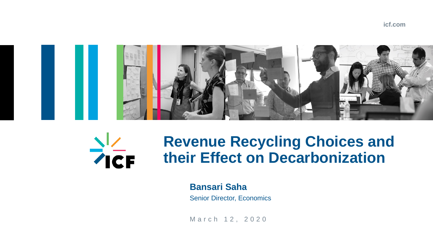#### **icf.com**

March 12, 2020





## **Revenue Recycling Choices and their Effect on Decarbonization**

**Bansari Saha**

Senior Director, Economics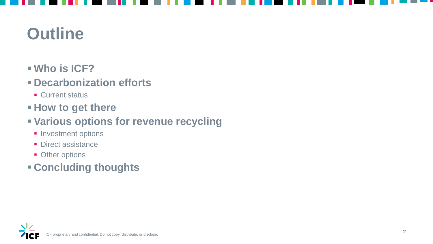## **Outline**

- **Who is ICF?**
- **Decarbonization efforts**
	- **Current status**
- **How to get there**
- **Various options for revenue recycling**
	- **Investment options**
	- **Direct assistance**
	- **Other options**
- **Concluding thoughts**

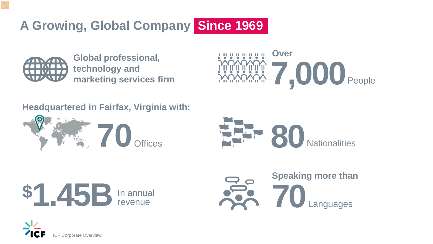

## **A Growing, Global Company Since 1969**



#### **Headquartered in Fairfax, Virginia with:**



**Global professional, technology and marketing services firm** 





Languages

#### **Speaking more than**

**70**

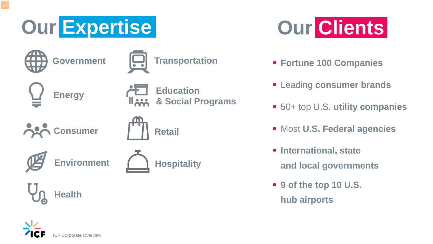



#### 50+ top U.S. **utility companies**

- **Fortune 100 Companies**
- **Example 2 Figure 1 Figure 2 Figure 2 Figure 2 Figure 2 Figure 2 Figure 2 Figure 2 Figure 2 Figure 2 Figure 2 Figure 2 Figure 2 Figure 2 Figure 2 Figure 2 Figure 2 Figure 2 Figure 2 Figure 2 Figure 2 Figure 2 Figure 2 Figu**
- 
- Most **U.S. Federal agencies**
- **International, state** 
	- **and local governments**
- **9 of the top 10 U.S. hub airports**



**Health** 

**Energy**

**Environment**





**Education**  خندا **& Social Programs**

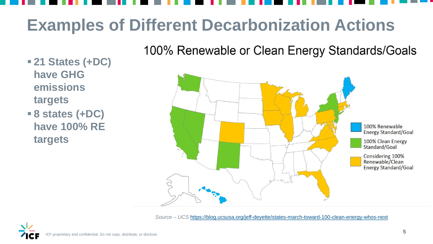# **Examples of Different Decarbonization Actions**

100% Renewable or Clean Energy Standards/Goals

- **21 States (+DC) have GHG emissions targets**
- **8 states (+DC) have 100% RE targets**



*Source – UCS* <https://blog.ucsusa.org/jeff-deyette/states-march-toward-100-clean-energy-whos-next>

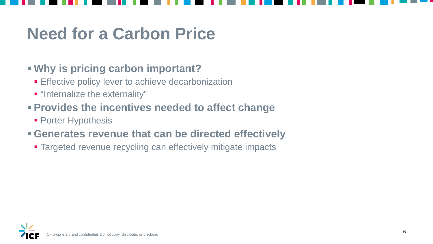## **Need for a Carbon Price**

### **Why is pricing carbon important?**

- **Effective policy lever to achieve decarbonization**
- $\blacksquare$  "Internalize the externality"
- **Provides the incentives needed to affect change** 
	- **Porter Hypothesis**

### **Generates revenue that can be directed effectively**

**Targeted revenue recycling can effectively mitigate impacts** 

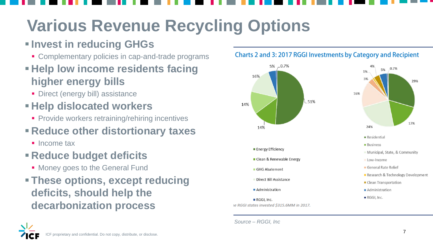

#### Charts 2 and 3: 2017 RGGI Investments by Category and Recipient



# **Various Revenue Recycling Options**

## **Invest in reducing GHGs**

- **Complementary policies in cap-and-trade programs**
- **Help low income residents facing higher energy bills**
	- **Direct (energy bill) assistance**

- **Money goes to the General Fund**
- **These options, except reducing deficits, should help the decarbonization process**



5% 0.7%

## **Help dislocated workers**

**Provide workers retraining/rehiring incentives** 

## **Reduce other distortionary taxes**

**Income tax** 

### **Reduce budget deficits**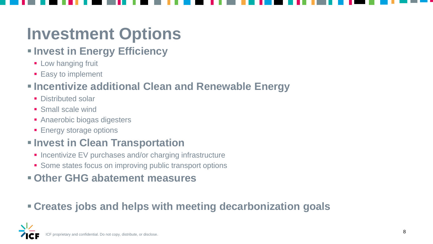## **Investment Options**

## $\blacksquare$  **Invest in Energy Efficiency**

- **Low hanging fruit**
- **Easy to implement**

### **Incentivize additional Clean and Renewable Energy**

- **Distributed solar**
- **Small scale wind**
- **Anaerobic biogas digesters**
- **Energy storage options**

### $\blacksquare$  **Invest in Clean Transportation**

- **Incentivize EV purchases and/or charging infrastructure**
- **Some states focus on improving public transport options**

### **Other GHG abatement measures**

## **Creates jobs and helps with meeting decarbonization goals**

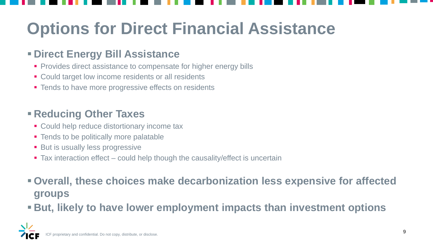# **Options for Direct Financial Assistance**

### **Direct Energy Bill Assistance**

- **Provides direct assistance to compensate for higher energy bills**
- **Could target low income residents or all residents**
- **Tends to have more progressive effects on residents**

### **Reducing Other Taxes**

- **Could help reduce distortionary income tax**
- **Tends to be politically more palatable**
- **But is usually less progressive**
- Tax interaction effect could help though the causality/effect is uncertain

### **Overall, these choices make decarbonization less expensive for affected groups**

**But, likely to have lower employment impacts than investment options** 

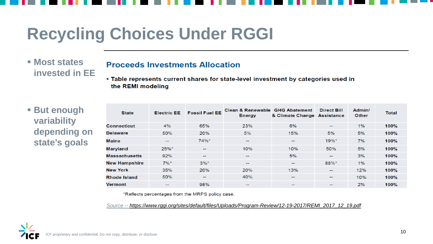## **Recycling Choices Under RGGI**

#### **Most states invested in EE**

#### **Proceeds Investments Allocation**

. Table represents current shares for state-level investment by categories used in the REMI modeling

#### **But enough variability depending on state's goals**

| <b>State</b>         | <b>Electric EE</b>       | <b>Fossil Fuel EE</b> | <b>Clean &amp; Renewable GHG Abatement</b><br><b>Energy</b> | & Climate Change | <b>Direct Bill</b><br><b>Assistance</b> | Admin/<br><b>Other</b> | <b>Total</b> |
|----------------------|--------------------------|-----------------------|-------------------------------------------------------------|------------------|-----------------------------------------|------------------------|--------------|
| <b>Connecticut</b>   | 4%                       | 65%                   | 23%                                                         | 6%               | $\overline{\phantom{a}}$                | $1\%$                  | 100%         |
| <b>Delaware</b>      | 50%                      | 20%                   | 5%                                                          | 15%              | 5%                                      | 5%                     | 100%         |
| Maine                | $\sim$                   | 74%*                  | $\sim$                                                      | $\sim$           | 19%*                                    | 7%                     | 100%         |
| <b>Maryland</b>      | 25%*                     | $\sim$                | 10%                                                         | 10%              | 50%                                     | 5%                     | 100%         |
| <b>Massachusetts</b> | 92%                      | $\sim$                | $\sim$                                                      | 5%               | $\overline{\phantom{a}}$                | 3%                     | 100%         |
| <b>New Hampshire</b> | $7\%$ *                  | $3\%$ *               | $\sim$                                                      | $\sim$           | 88%*                                    | $1\%$                  | 100%         |
| <b>New York</b>      | 35%                      | 20%                   | 20%                                                         | 13%              | $\overline{\phantom{a}}$                | 12%                    | 100%         |
| <b>Rhode Island</b>  | 50%                      | $\sim$                | 40%                                                         | $\sim$           | $\sim$                                  | 10%                    | 100%         |
| <b>Vermont</b>       | $\overline{\phantom{m}}$ | 98%                   | $\sim$                                                      | $\sim$           | $\sim$                                  | 2%                     | 100%         |

\*Reflects percentages from the MRPS policy case.

*Source -- [https://www.rggi.org/sites/default/files/Uploads/Program-Review/12-19-2017/REMI\\_2017\\_12\\_19.pdf](https://www.rggi.org/sites/default/files/Uploads/Program-Review/12-19-2017/REMI_2017_12_19.pdf)*

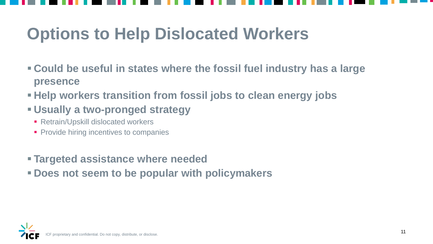- **Could be useful in states where the fossil fuel industry has a large presence**
- **Help workers transition from fossil jobs to clean energy jobs**
- **Usually a two-pronged strategy**
	- Retrain/Upskill dislocated workers
	- **Provide hiring incentives to companies**
- **Targeted assistance where needed**
- **Does not seem to be popular with policymakers**





# **Options to Help Dislocated Workers**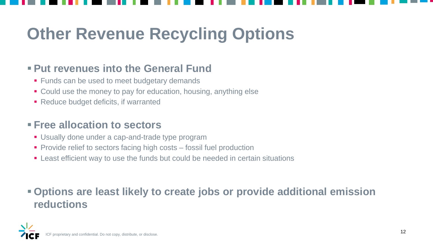

# **Other Revenue Recycling Options**

### **Put revenues into the General Fund**

- **Funds can be used to meet budgetary demands**
- Could use the money to pay for education, housing, anything else
- Reduce budget deficits, if warranted

#### **Free allocation to sectors**

- **Usually done under a cap-and-trade type program**
- **Provide relief to sectors facing high costs fossil fuel production**
- **EXT** Least efficient way to use the funds but could be needed in certain situations

### **Options are least likely to create jobs or provide additional emission reductions**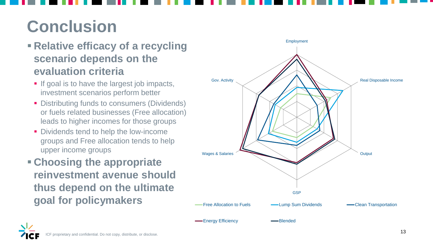# **Conclusion**

### **Relative efficacy of a recycling scenario depends on the evaluation criteria**





- If goal is to have the largest job impacts, investment scenarios perform better
- **Distributing funds to consumers (Dividends)** or fuels related businesses (Free allocation) leads to higher incomes for those groups
- Dividends tend to help the low-income groups and Free allocation tends to help upper income groups
- **Choosing the appropriate reinvestment avenue should thus depend on the ultimate goal for policymakers**